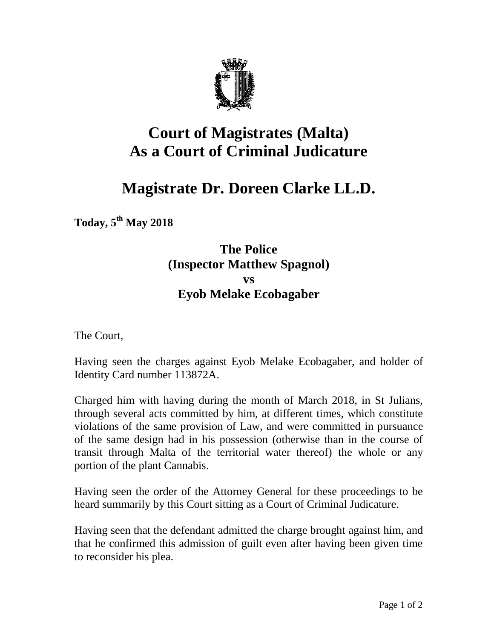

## **Court of Magistrates (Malta) As a Court of Criminal Judicature**

## **Magistrate Dr. Doreen Clarke LL.D.**

**Today, 5 th May 2018** 

## **The Police (Inspector Matthew Spagnol) vs Eyob Melake Ecobagaber**

The Court,

Having seen the charges against Eyob Melake Ecobagaber, and holder of Identity Card number 113872A.

Charged him with having during the month of March 2018, in St Julians, through several acts committed by him, at different times, which constitute violations of the same provision of Law, and were committed in pursuance of the same design had in his possession (otherwise than in the course of transit through Malta of the territorial water thereof) the whole or any portion of the plant Cannabis.

Having seen the order of the Attorney General for these proceedings to be heard summarily by this Court sitting as a Court of Criminal Judicature.

Having seen that the defendant admitted the charge brought against him, and that he confirmed this admission of guilt even after having been given time to reconsider his plea.